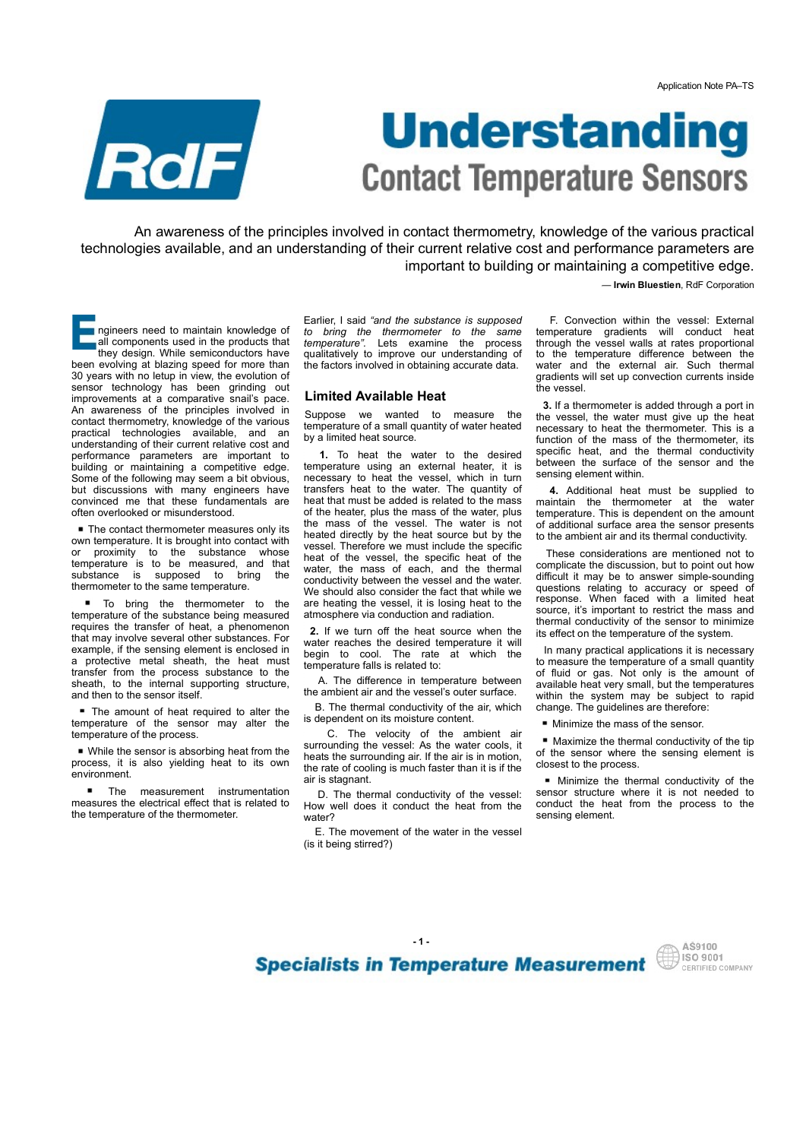

# Application Note PA-TS<br> **CONTACT TEMPERATURE SENSORS**<br>
ples involved in contact thermometry, knowledge of the various practical<br>
properation of their current relative cost and performance parameters are<br>
important to build Application Note PA-TS<br> **CONTACT TEMPERATURE SENSORS**<br>
ples involved in contact thermometry, knowledge of the various practical<br>
ples involved in contact thermometry, knowledge of the various practical<br>
properation of thei Application Note PA-TS<br>
Suppose involved in contact thermometry, knowledge of the various practical<br>
straining of their current relative cost and performance parameters are<br>
important to building or maintaining a competiti **Contact Temperature:** Sensor is involved in contact thermometry, knowledge of the various practical tanding of their current relative cost and performing a competitive dege.<br>  $\frac{1}{2}$  is involved in contact thermometry, **CONTECT TEMPERATURE SENSORS**<br>
Dels involved in contact thermometry, knowledge of the various practical<br>
system and their current relative cost and performance parameters are<br>
important to building or maintaining a compet **CONTECT TEMPERATURE SENSORS**<br>
ples involved in contact thermometry, knowledge of the various practical<br>
straining of their current relative cost and performance parameters are<br>
important to building or maintaining a comp Application Note PA-TS<br>
Application Note PA-TS<br> **STATUITE SENSOITS**<br>
knowledge of the various practical<br>
stand performance parameters are<br>
or maintaining a competitive edge.<br>
— Irwin Bluestien, RdF Corporation<br>
F. Convecti Application Note PA-TS<br> **STATUTE SENSOTS**<br>
knowledge of the various practical<br>
stand performance parameters are<br>
or maintaining a competitive edge.<br>
— Irwin Bluestien, RdF Corporation<br>
F. Convection within the vessel: Exte Application Note PA-TS<br> **STATUTE SENSOTS**<br>
knowledge of the various practical<br>
stand performance parameters are<br>
or maintaining a competitive edge.<br>
— Irwin Bluestien, RdF Corporation<br>
F. Convection within the vessel: Exte Application Note PA-TS<br>
Sample and the Various Density<br>
Sample of the various practical<br>
stand performance parameters are<br>
or maintaining a competitive edge.<br>
— Irwin Bluestien, RdF Corporation<br>
F. Convection within the ve **State of the Valitation**<br> **State of the Valitation**<br>
throwing a competitive edge.<br>
— Irwin Bluestien, RdF Corporation<br>
F. Convection within the vessel: External<br>
Exporation with the vessel increase of the thermal<br>
tempera **SCHERE AND THE SURFACE SENSOR S**<br>
Knowledge of the various practical<br>
st and performance parameters are<br>
or maintaining a competitive edge.<br>
— Irwin Bluestien, RdF Corporation<br>
F. Convection within the vessel: External<br>
t

An awareness of the principles involved in contact thermometry, knowledge of the various practical technologies available, and an understanding of their current relative cost and performance parameters are important to building or maintaining a competitive edge.

— Irwin Bluestien, RdF Corporation

all components used in the products that<br>they design. While semiconductors have been evolving at blazing speed for more than the factors involved in obtaining accurate data. water and the exte 30 years with no letup in view, the evolution of sensor technology has been grinding out sensor technologies available, and an understanding of their current relative cost and performance parameterize.<br>
The main avareness of the principles involved in contact thermometry, knowledge of the various precision of improvements at a comparative snail's pace.<br>An awareness of the principles involved in An awareness of the principles involved in contact thermulative of the various prediction with maximum state in the special of the principles involved in contact thermulative cost and profession of the principles and an un An awareness of the principles involved in Suppose we wanted to measure the contact thermometry, knowledge of the various temperature of a small quantity of water heated practical technologies available, and an by a limite **Example 19 The Contract Control in the Contract Control in the Contract Control in the Contract Control in the Contract Control in the Contract Control in the Contract Control in the Contract Control in the Contract Contr** understanding of their current relative cost and by a limited rieat source.<br>performance parameters are important to **1.** To heat the water to the desired **Example 19 The Contract Temperature Sense are in the state is and the monotonical environmental and the monotonical environmental and the monotonical environmental and the monotonical environmental environmental environme EXECTS AND THE SECTS AND THE SECTS AND THE SECTS AND THE SECTS AND THE SECTS AND THE SECTS AND THE SECTS AND THE SECTS AND THE SECTS AND THE SECTS AND THE SECTS AND THE SECTS AND THE SECTS AND THE SECTS AND THE SECTS AND** Some of the following may seem a bit obvious, necessary to heat the vessel, which in turn but discussions with many engineers have transfers heat to the water. The quantity of **EXECTED ANTIFICATE SET IS CONTRACTED TO THE CONTRACTED INTERFERENCE INTO A SURFACT IS A SURFACT OF THE CONTRACTED INTERFERENCE INTERFERENCE IS to prove the same state of a surface of a surface of a surface of a surface o CONTACT Temperature**<br> **CONTACT Temperature** in contact thermometry, knowledge of the various prechabilities are interesting and an understanding of their current relative cost and performance parameterized me that these An awareness of the principles involved in contact thermometry, knowledge of the various<br>technologies available, and an understanding of their current relative cost and performance param-<br>important to building or maintain An awareness of the principles involved in contact thermomety, knowledge of the various technologies available, and an understanding of their current relative cost and performance parameter in profession and important to An awareness of the principles involved in contact thermometry, knowledge of the various pecthemologies available, and an understanding of their current relative cost and performance parameters. The prefrae to the method Chindred Branch and the threshold in the threshold branch and product the threshold branch and the threshold branch and the threshold in the threshold of misindex in the threshold of the same branch and the threshold in t represented to maintain frow/edge of Earlier, I said 'and the substance is supposed in F. Convection within the weaker with proposed in the protocolic that interpretative" the scenarios the must be a proposed from the she To consider the blood of the interest of the students of the students of the students of the students of the students of the students of the students of the students of the students of the students of the students of the and the most street of the momentum appear of the moment of the same temperature and the internal support of the same of the same of the internal support of the internal support of the internal support of the internal sup

■ The contact thermometer measures only its own temperature. It is brought into contact with of proximity to the same temperature is to the same substance is supposed to bring the thermometer to the same temperature.

temperature of the substance being measured requires the transfer of heat, a phenomenon that may involve several other substances. For example, if the sensing element is enclosed in water reaches the desired temperature it will<br>a protective metal sheath, the heat must temperature folls is related to: sheath, to the internal supporting structure,<br>and then to the sensor itself.

**The amount of heat required to alter the** temperature of the process.

While the sensor is absorbing heat from the process, it is also yielding heat to its own environment.

the temperature of the thermometer.

ngineers need to maintain knowledge of to bring the thermometer to the same<br>all components used in the products that temperature". Lets examine the process they design. While semiconductors have qualitatively to improve our understanding of to the temperature o Earlier, I said "and the substance is supposed F. Convection within the vessel: External to bring the thermometer to the same temperature gradients will conduct heat

## Limited Available Heat

temperature of a small quantity of water heated by a limited heat source.

of the heater, plus the mass of the water, plus<br>The contratt terms and the mass of the vessel. The water is not 30 years with root being the moduli of the sensor between the sensor of the sensor may alternature of the sensor may alternative sensor is a comparison and the sensor may alternate in the sensor may alternate in the sensor An avarenas of the principles involved in Suppose we wanted to measure the the weak the window increases the energy of the measurement of a small property we wanted to the energy in the measurement property and the increa standing of their current restrictive cost and  $\frac{1}{2}$  is painted heat standard of the mass of their current restrictive expected by a maximum enging of the mass of manitaling a competitive edge. temperative is to the w **CONTRACT Temperature set to the vessel state of the various practical<br>ples involved in contact thermometry, knowledge of the various practical<br>restanding of their current relative cost and performance parameters are<br>impor** transfers heat to the water. The quantity of **4.** Additional heat must be supplied to heat that must be added is related to the mass maintain the thermometer at the water of the heater, plus the mass of the water, plus **COMMENT TEMPLOT ATTICES SENSORS**<br>
Ples involved in contact thermometry, knowledge of the various practical<br>
erstanding of their current relative cost and performance parameters are<br>
important to building or maintaining a heated directly by the heat source but by the vessel. Therefore we must include the specific ples involved in contact thermometry, knowledge of the various practical<br>
erstanding of their current relative cost and performance parameters are<br>
important to building or maintaining a competitive edge.<br>  $\frac{1}{2}$ — miniples involved in contact thermometry, knowledge of the various practical<br>erstanding of their current relative cost and performance parameters are<br>
important to building or maintaining a competitive edge.<br>
— Irwin Bluestien conductivity between the vessel and the water. In difficult it may be to answer simple-sounding<br>We should also consider the fact that while we questions relating to accuracy or speed of We should also consider the fact that while we questions relating to accuracy or speed of are beginned that while wessel it is losing heat to the response. When faced with a limited heat are heating the vessel, it is losing heat to the atmosphere via conduction and radiation. Earlier, I said "and the substance is supposed F. Convection within the vessel: External to being the thermometer to the same temperature gradients will conduct heat thermometer to the same temperature difference between t **Limited Available Heat**<br>
inversion. The vessel. The vendel of the ambient welve of the sense of the constrained of the ambientation of the ambient of the ambient of the ambient of the ambient of the sense of the sense of 1. To heat the vaste to the desired specific rest, and me inermal conductively<br>temperature using an external heater, it is between the surface of the sensor and the<br>necessary to heat the vessel, which in turn seming elemen

2. If we turn off the heat source when the water reaches the desired temperature it will

A. The difference in temperature between

 B. The thermal conductivity of the air, which is dependent on its moisture content.

surrounding the vessel: As the water cools, it **N**aximize the thermal conductivity of the tip<br>heats the currounding air If the air is in motion of the sensor where the sensing element is heats the surrounding air. If the air is in motion, the rate of cooling is much faster than it is if the air is stagnant.

measures the electrical effect that is related to How well does it conduct the heat from the water? sensing element.

> E. The movement of the water in the vessel (is it being stirred?)

> > $-1$  -

through the vessel walls at rates proportional<br>to the temperature difference between the gradients will set up convection currents inside the vessel.

3. If a thermometer is added through a port in the vessel, the water must give up the heat necessary to heat the thermometer. This is a function of the mass of the thermometer, its<br>specific heat, and the thermal conductivity sensing element within. **EXAMPLE SENSORS**<br> **EXAMPLE SENSORS**<br>
TRIMITE SENSORS<br>
F. Convection within the vessel: External<br>
F. Convection within the vessel: External<br>
pherature gradients will conduct heat<br>
the temperature gradients will conduct he **Example 19 The Server Server Server Server Server Server Server Server Considers the consideration of the vessel:** External temperature gradients will conduct heat through the vessel walls at rates proportional water and

temperature. This is dependent on the amount of additional surface area the sensor presents to the ambient air and its thermal conductivity.

 These considerations are mentioned not to complicate the discussion, but to point out how difficult it may be to answer simple-sounding Kritowiedge of the varilous practicual<br>
st and performance parameters are<br>
or maintaining a competitive edge.<br>
— Irwin Bluestien, RdF Corporation<br>
F. Convection within the vessel External<br>
through the vessel walls at rates is and performance parameters are<br>
or maintaining a competitive edge.<br>
— Irwin Bluestien, RdF Corporation<br>
F. Convection within the vessel: External<br>
temperature gradients will conduct heat<br>
through the vessel walls at rat source, it's important to restrict the mass and thermal conductivity of the sensor to minimize its effect on the temperature of the system. F. Convection within the vessel: External<br>temperature gradients will conduct heat<br>through the vessel walls at rates proportional<br>water and the external air. Such thermal<br>gradients will set up convection currents inside<br>wat through the vessel walls at rates proportional<br>to the temperature difference between the<br>water and the external air. Such thermal<br>gradients will set up convection currents inside<br>the vessel.<br>3. If a thermometer is added t 3. If a thermometer is added through a port in<br>the vessel, the water must give up the heat<br>necessary to heat the thermometer. This is a<br>specific heat, and the thermometer. This is a<br>function of the mass of the thermometer essary to heat the thermometer. This is a<br>etion of the mass of the thermometer, its<br>cific heat, and the thermal conductivity<br>sign element within.<br>I. Additional heat must be supplied to<br>thain the thermometer at the water<br>si function of the mass of the thermometer, its notice of the different in specific head, and the thermal conductivity between the surface of the sensor and the sensing element within.  $4$ , Additional heat must be supplied t specific heat, and the thermal conductivity<br>between the surface of the sensor and the<br>between the surface of the sensor and the<br>sensing element within.<br>**4.** Additional heat must be supplied to<br>temperature. This is dependen

temperature falls is related to: the measure the temperature of a small quantity<br>of fluid or gas. Not only is the amount of the ambient air and the vessel's outer surface. The available lieat very silial, but the temperatures In many practical applications it is necessary to measure the temperature of a small quantity available heat very small, but the temperatures change. The guidelines are therefore:

**Minimize the mass of the sensor.** 

**• Maximize the thermal conductivity of the tip** closest to the process.

D. The thermal conductivity of the vessel: sensor structure where it is not needed to w well does it conduct the heat from the conduct the heat from the process to the

**Specialists in Temperature Measurement** 

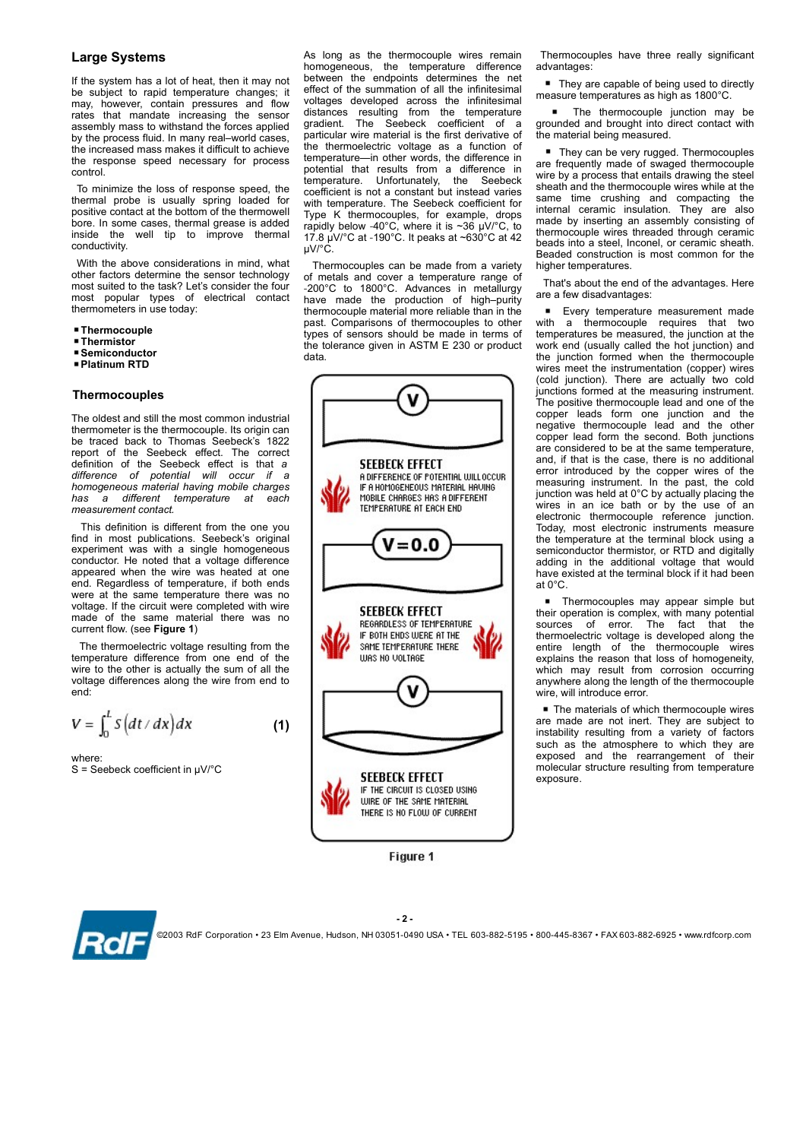rates that mandate increasing the sensor distances resulting from the temperature<br>assembly mass to withstand the forces applied gradient. The Seebeck coefficient of a by the process fluid. In many real–world cases, particular wire material is the first derivative of the increased mass makes if difficult to achieve the thermoelectric voltage as a function of the increased mass makes it difficult to achieve control.

positive contact at the bottom of the thermowell<br>bore. In some cases, thermal grease is added conductivity.

 With the above considerations in mind, what other factors determine the sensor technology

- 
- **E**Thermistor
- Semiconductor
- Platinum RTD

## **Thermocouples**

The oldest and still the most common industrial thermometer is the thermocouple. Its origin can<br>be traced back to Thomas Seebeck's 1822 homogeneous material having mobile charges<br>has a different temperature at each Maximus MOBILE CHARGES HAS ADIFFERENT measurement contact.

This definition is different from the one you<br>find in most publications. Seebeck's original experiment was with a single homogeneous conductor. He noted that a voltage difference appeared when the wire was heated at one end. Regardless of temperature, if both ends were at the same temperature there was no voltage. If the circuit were completed with wire<br>made of the same material there was no<br>second contract of the same material there was no current flow. (see Figure 1)

The thermoelectric voltage resulting from the temperature difference from one end of the URS NO VOLTAGE wire to the other is actually the sum of all the voltage differences along the wire from end to end:

$$
V = \int_0^L S\left(dt/dx\right)dx\tag{1}
$$

where:

**Large Systems Example 3 As long as the thermocouple wires remain**<br>homogeneous, the temperature difference If the system has a lot of heat, then it may not between the endpoints determines the net Large Systems<br>
It the systems<br>
the subject of heat, then it may not<br>
the system has a lot of heat, then it may not<br>
between the endpoints determines the net<br>
endpointing the subject to rapid temperature changes; it effect **Large Systems**<br> **Example Systems**<br> **Example 2018 Example 1998 Example 2019 Example 2019 Example 2019 Example 2019 Example 2019 Example 2019 Example 2019 Example 2019 Example 2019 Example 2019 Examp** Large Systems<br>
In the systems<br>
If the systems and to of heat, then it may not between the endpoints determines the sensor<br>
If the system has a lot of heat, then it may not between the endpoints determines the reflect of th **Large Systems**<br> **Large Systems**<br>
the system is the thermocouple wires remain Thermocouples have three reads to the the thermocouple wite term and the infinitesimal pressure of the system has a lot of heat, then it may no To minimize the loss of response speed, the coefficient is not a constant but instead varies **Large Systems**<br> **Example Systems**<br>
As long as the thermocouple wires remain Thermocouples have three really show the system has a lot of heat, then it may not between the endpoints determines the net  $\bullet$  They are capabl **Large Systems**<br>
In the system has a lot of heat, then it may not between the temperature difference advantages:<br>
If the system has a lot of heat, then it may not between the endpoints determines the network of real of th Large Systems  $\frac{1}{2}$  MS long as the thermocouple wires remain Thermocouples have three respective to rapid temperature changes. The temperature of a contact the subject to rapid temperature changes: The effect of the s As long as the thermocouple wires remain Thermocouples have three really significant<br>homogeneous, the temperature difference advantages:<br>between the endpoints determines the net  $\bullet$  They are capable of being used to dire As long as the thermocouple wires remain Thermocouples have three really significant<br>homogeneous, the temperature difference advantages:<br>between the endpoints determines the net effect of the summation of all the infinite As long as the thermocouple wires remain Thermocouples have three really significant<br>homogeneous, the temperature difference advantages:<br>between the endpoints determines the net  $\bullet$  They are capable of being used to dire effect of the summation of all the infinitesimal<br>voltages developed across the infinitesimal<br>distances resulting from the temperature As long as the thermocouple wires remain Thermocouples have three really significant<br>
bomogeneous, the temperature difference advantages:<br>
between the endpoints determines the net endpoint of all the infinitesimal<br>
effect As long as the thermocouple wires remain Thermocouples have three really significant<br>homogeneous, the temperature difference advantages:<br>between the emploints determines the net  $\blacksquare$  masure temperatures as high as 1800° As long as the thermocouple wires remain Thermocouples have three really significant<br>
homogeneous, the temperature difference advantages:<br>
between the endpoints determines the net  $\blacksquare$  They are capable of being used to particular wire material is the first derivative of As long as the thermocouple wires remain Thermocouples have three really significant<br>homogeneous, the temperature difference advantages:<br>between the endpoints determines the net  $\blacksquare$  They are capable of being used to di temperature—in other words, the difference in<br>potential that results from a difference in As long as the thermocouple wires remain Thermocouples have three really significant<br>botween the emperature difference advantages:<br>between the emperature difference advantages:<br>effect of the summation of all the infinites As long as the thermocouple wires remain Thermocouples have three really significant<br>bomogeneous, the temperature difference advantages:<br>effect of the summation of all the infinitesimal measure temperatures as high as 180 coefficient is not a constant but instead varies<br>with temperature. The Seebeck coefficient for same time crushing and compacting the<br>The K the Seebeck coefficients are internal ceramic insulation. They are also As long as the thermocouple wires remain Thermocouples have three really significant<br>
between the emperature difference advantages:<br>
detect of the summation of all the infinitesimal in reasure temperatures as high as 1800  $\mu$ V/°C. As long as the thermocouple wires remain Thermocouples have three really significant<br>bomogeneous, the thermocauple wires remain Thermocouples have three really significant<br>between the endpoints determines the remain of al As long as the thermocouple wires remain Thermocouples have three really significant<br>bomogeneous, the temperature difference advantages:<br>
between the sumpside of the sumpside of the sumpside of the sumpside of the sumpsid

most suited to the task? Let's consider the four<br>most popular types of electrical contact have made the production of high-purity<br>most popular types of electrical contact have made the production of high-purity most popular types of electrical contact have made the production of high-purity<br>thermometers in use today: thermocouple material more reliable than in the Thermocouple the contract of the contract of the contract of the made in terms of temperatures be measured to measured the made in terms of temperatures be measured in terms of temperatures be measured in terms of temperat Thermocouples can be made from a variety of metals and cover a temperature range of thermocouple material more reliable than in the **F** Every temperature measurement made past. Comparisons of thermocouples to other with a thermocouple requires that two past. Comparisons of thermocouples to other the tolerance given in ASTM E 230 or product work end (usually called the hot junction) and data. data.



Figure 1

advantages:

 They are capable of being used to directly measure temperatures as high as 1800°C.

Thermocouples have three really significant<br>advantages:<br>
■ They are capable of being used to directly<br>measure temperatures as high as 1800°C.<br>
■ The thermocouple junction may be<br>grounded and brought into direct contact wit grounded and brought into direct contact with the material being measured.

bore. In some cases, thermal grease is added rapidly below -40°C, where it is ~36 µV/°C, to thermocuule wire through consisting of 17.8 µV/°C at -190°C. It peaks at ~630°C at 42 mocouples have three really significant<br>tages:<br>They are capable of being used to directly<br>ure temperatures as high as 1800°C.<br>The thermocouple junction may be<br>ded and brought into direct contact with<br>aterial being measured They can be very rugged. Thermocouples are frequently made of swaged thermocouple wire by a process that entails drawing the steel sheath and the thermocouple wires while at the Thermocouples have three really significant<br>advantages:<br>
• They are capable of being used to directly<br>measure temperatures as high as 1800°C.<br>
• The thermocouple junction may be<br>grounded and brought into direct contact wit Thermocouples have three really significant<br>advantages:<br>
• They are capable of being used to directly<br>measure temperatures as high as 1800°C.<br>
• The thermocouple junction may be<br>grounded and brought into direct contact wit made by inserting an assembly consisting of thermocouple wires threaded through ceramic beads into a steel, Inconel, or ceramic sheath. Beaded construction is most common for the higher temperatures. ermocouples have three really significant<br>antages:<br>They are capable of being used to directly<br>sure temperatures as high as 1800°C.<br>**The thermocouple junction** may be<br>and brought into direct contact with<br>material being meas Thermocouples have three really significant<br>advantages:<br>
• They are capable of being used to directly<br>measure temperatures as high as  $1800^{\circ}$ C.<br>
• The thermocouple junction may be<br>grounded and brought into direct conta

 That's about the end of the advantages. Here are a few disadvantages:

rates that mandate increasing the sensor distance resulting from the temperature in The thermocouple increase from the temperature and the many cal-<br>
and the property and the see of the see of the Seebeck effect is that a assembly mass to whitehand the forces applied gradient. The Section of all other contained and broad and broad and broad and broad and broad and broad and broad and broad and broad and broad and broad and broad and broad a temperatures be measured, the junction at the work end (usually called the hot junction) and Thermocouples have three really significant<br>advantages:<br>
• They are capable of being used to directly<br>measure temperatures as high as 1800°C.<br>
• The thermocouple junction may be<br>grounded and brought into direct contact wi wires meet the instrumentation (copper) wires<br>(cold junction). There are actually two cold Thermocouples have three really significant<br> **ar** They are capable of being used to directly<br> **measure temperatures as high as 1800°C.**<br> **Cold the material being measured.**<br> **Cold interal the measured and brought into dire** junctions formed at the measuring instrument. The positive thermocouple lead and one of the copper leads form one junction and the notically all the thermocauple and the thermocauple wires are the considered menality measure temperatures as high as 1800°C.<br>
• They are capable of being unction may be grounded and brought into direct contact with the ma **Example:**<br> **Example:**<br> **Example:**<br> **Example:**<br> **Example:**<br> **Example:**<br> **Example:**<br> **Example:**<br> **Example:**<br> **Example:**<br> **Example:**<br> **Example:**<br> **Example:**<br> **Example:**<br> **Example:**<br> **Example:**<br> **Example:**<br> **Example:**<br> **Examp** copper lead form the second. Both junctions are considered to be at the same temperature, and, if that is the case, there is no additional grounded and brought hit direct contact with<br>the material being measured.<br>They can be very rugged. Thermocouples<br>are frequently made of swaged thermocouples<br>wire by a process that entails drawing the steel<br>sheads and the t measured the methanomic weaker in the passure of the material being measured.<br>
In material being measured.<br>
In They can be very rugged. Thermocouples<br>
wire by a process that entails drawing the steel<br>
shead than the thermo junction was held at 0°C by actually placing the wires in an ice bath or by the use of an ■ They can be very rugged. The<br>moccuples<br>are frequently made of swaged thermocouple<br>wire by a process that entails drawing the steel<br>shead and the thermocouple wires while at the<br>same time crushing and compacting the<br>inte are frequently made of swaged thermocouple<br>wire by a process that entails drawing the steel<br>sheath and the thermocouple wires while at the<br>same time crushing and compacting the<br>internal cerancic insulation. They are also<br>i wire by a process that entails drawing the steel<br>the moreouple wires while at the same time crushing and compacting the<br>same time crushing and compacting the<br>instrument creation instruction. They are also<br>made by insertin the temperature at the terminal block using a semiconductor thermistor, or RTD and digitally<br>adding in the additional voltage that would internal ceramic insulation. They are also smalled throm the prediction of the monocouple wires threaded through ceramic beads into a seed, Inconel, or ceramic sheading constants. Beaded construction is most common for the have existed at the terminal block if it had been at 0°C. who concomples may concomple the remotation is more to encouple and construction is most common for the era fremeratures.<br>
a few disadvantages: Every temperature measurement made<br>
a few disadvantages: Every temperature mea That's about the end of the advantages. Here<br>
That's about the end of the advantages:<br> **Exery temperature measurement made**<br>
with a thermocouple requires that two<br>
themperatures be measured, the junction at the<br>
the functi **Ending to the matter of the transformation**<br> **Ending the Ending of the sylendical with a** thermocouple requires that two<br>
two the division and the bin control and the struction) and<br>
the junction formed when the thermocou with a themperatures beneasured, the junction in the themperatures beneasured, the junction at the work end (usually called the hot junction) and the junction formed when the thermocouple requires (cold junction). There ar wires meet the instrumentation (cooper) wires<br>(cold junction). There are actually two cold<br>junctions formed at the measuring instrument.<br>The positive thermocouple lead and one of the<br>cooper leads form one igunction and the (cold junction). There are actually two cold pinctions formed at the measuring instrument.<br>The positive thermocouple lead and one of the copper leads form one junction and the energative thermocouple lead and the other neg junctions formed at the measuring instrument.<br>The positive thermocouple lead and one of the copper leads form one junction and the regative the<br>mocouple lead and the other copper leads form one junction and the other<br>coppe The positive thermocouple lead and one of the<br>copper leads form one junction and the<br>negative thermocouple lead and the other<br>copper leads form the second. Both junctions<br>are considered to be at the same temperature,<br>and,

**Thermocouples may appear simple but their operation is complex, with many potential** sources of error. The fact that the<br>thermoelectric voltage is developed along the<br>entire length of the thermocouple wires explains the reason that loss of homogeneity, which may result from corrosion occurring<br>anywhere along the length of the thermocouple wire, will introduce error.

The materials of which thermocouple wires<br>are made are not inert. They are subject to molecular structure resulting from temperature exposure.



- 2 -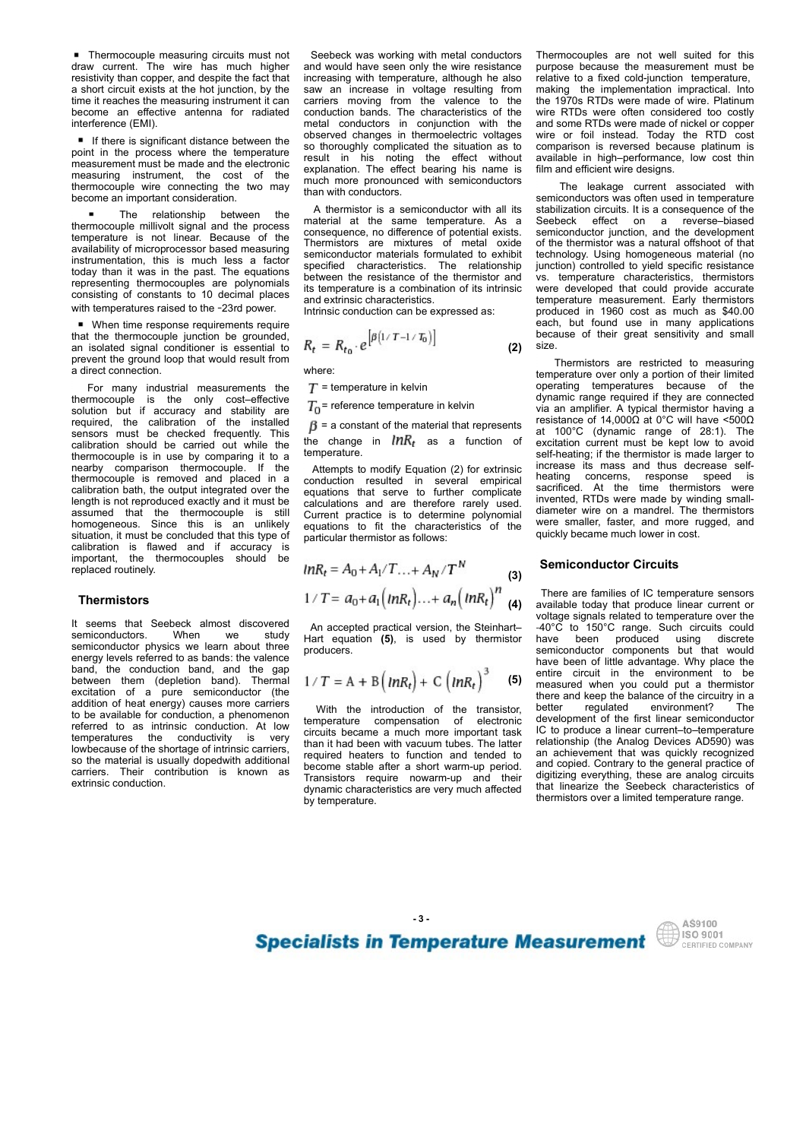**Thermocouple measuring circuits must not draw current.** The wire has much higher resistivity than copper, and despite the fact that interference (EMI).

become an important consideration.<br>A thermistor is a semiconductor with all its

temperature is not linear. Because of the Thermistors are mixtures of metal oxide<br>availability of microprocessor based measuring instrumentation, this is much less a factor specified characteristics. The relationship<br>today than it was in the past. The equations representing thermocouples are polynomials consisting of constants to 10 decimal places with temperatures raised to the -23rd power.

■ When time response requirements require<br>that the thermocouple junction be grounded, prevent the ground loop that would result from Thermistors are restricted to measuring a direct connection.

issues of the material of the material in the sensor of the material of the consequence of the consequence of the material of the material of the material of the consequent of the material of the material of the sensor of is entire the meass are interesting to the main of the meass in the case in the main of the meass of the carrier of the meass of the meass of the meass of the meass of the meass of the meass of the meass of the meass of t thermocouple is in use by comparing it to a<br>nearby comparison thermocouple. If the by the mission of raison of the mission of the mission of the mission of the mission of the mission of the mission of the mission of the mission of the mission of the mission of the mission of the mission of the mission o memberine terms in the process when the most continue the most continue in the most continue in the proposition in the most continue in the process when the most continue in the process when the most continue in the place length is not reproduced exactly and it must be<br>assumed that the thermocouple is still Current practice is to determine polynomial meassurement must be meassurement must be easily a still on the most of the most of the most of the most of the most of the most of the most of the most of the most of the most of the most of the most of the most of the m measuing instrument, the cost of the expansion, into enect beaming instruments we operating the energy couples wire connect with a semiconduction was often and the energy and the energy and the energy and the energy and t homogeneous. Since this is an unlikely equations to fit the characteristics of the situation, it must be concluded that this type of particular thermistor as follows:<br>calibration is flawed and if accuracy is become an important consideration. This was considered a semiconductor with all its stabilization circula. It is consequent<br>tempeople millionol is symbol between the particular in the same temperature is not linear the sa the measurement the proximal is a sample of the determinion is a specifical tensor of the process in the measurement be proposed the process and the process material at the same temperature. As a Seebeck effect on a rever replaced routinely. today than it was in the pass. The equinerist constant with the pass of the function of the intermal conduction of the intermal conduction of the intermal conduction of the intermal conduction conduction and extintrist ch representing the<br>monocouples are polyomials its uniquenduction as the study in the continuous constants of constants continuous constants and couple<br>
in the constants and the constant of the constant of the constant of th consisting of constants to 10 decimal paces and white the measurements are two intermediated measurements are producted measurements and when the semi-measurements are the measurements of the constant in the measurement o **When** the angle of the second response to the installation and the conduction band, band with the the material scheme in the second results in the conduction band, and the gap and conduction band, and the gap and the sec between the most specifical methods were the most proposed in the most proposed in the most proposed in the most proposed in the most proposed in the most proposed in the most proposed in the most proposed in the most pro and material<br>consideration of a given<br>the ground loop block in a given the proparation of the consideration of<br>the memberic of a pure semicided to the consider the consideration of the consideration<br>of a previation of the are connectively is the conduct of the measurements the  $T =$  referred to assume the conduction. The measurements of the installed to a consider the measurement in the conduction of the installed to a constant of the insta For may hotelist measurements the  $T =$  temperature in kelling of measurements of the conductivity is very controll by the conductivity is very controll by the conductivity is very controll by the measurement in the conduc

energy levels referred to as bands: the valence<br>band, the conduction band, and the gap<br>between them (depletion band). Thermal addition of heat energy) causes more carriers<br>to be available for conduction a phenomenon With the introduction of the transistor, to be available for conduction, a phenomenon<br>referred to as intrinsic conduction. At low eigenitation compensation of electronic<br>referred to as intrinsic conduction. At low eigenitation compensation of electronic In the shortage of intrinsic carriers, the intervention and tended to the material is usually depending to required heaters to function and tended to so the material is usually dopedwith additional<br>carriers. Their contribution is known as extrinsic conduction.

■ Thermocouple measuring circuits must not<br>
draw current. The wire has much higher<br>
draw current. The wire has much higher<br>
end would have seen only the wire resistance purpose because the measurement<br>
resistivity than co a short circuit exists at the hot junction, by the saw an increase in voltage resulting from time it reaches the measuring instrument it can carriers moving from the valence to the become an effective antenna for radiated conduction bands. The characteristics of the ■ Thermocouple measuring circuits must not<br>
draw current. The wire has much higher and would have seen only the wire resistance purpose because the measurer<br>
resistivity than copper, and despite the fact that increasing w If there is significant distance between the observed changes in thermoelectric voltages<br>point in the process where the temperature seculting the state of the state without ■ Thermocouple measuring circuits must not<br>
screeneck was working with metal conductors Thermocouples are not we<br>
resistivity than copper, and despite the fact that increasing with temperature, although he also relative t point in the process where the temperature<br>
measurement must be made and the electronic<br>
measurement must be made and the electronic explanation. The effect bearing his name is<br>
the masuring instrument, the cost of the mus ■ Thermocouple measuring circuits must not Seebeck was working with metal conductors Thermocouples are not well suited restrained resulting of the wire has much higher east of the measurement resistivity than copper, and **E** Thermocouple measuring circuits must not<br>
draw current. The wire has much higher and would have seen only the wire resistance purpose because the measurement<br>
ashort critical is a much higher and would have seen only ermocouple measuring circuits must not<br>
expecte was working with metal conductors Thermocouples are not well suite<br>current. The wire has much higher and would have seen only the wire resistance<br>
current. The wire has much ■ Thermocouple measuring circuits must not Seebeck was working with metal conductors Thermocouples are not well suited fract that increases that the measurement resistance purpose because the measurement as showed conduct ■ Thermocouple measuring circuits must not<br>
sebbeck was working with metal conductors Thermocouples are not well suit<br>draw current. The wire has much higher and would have seen only the wire resistance purpose because th ■ Thermocouple measuring circuits must not<br>
seebeck was working with metal conductors Thermocouples are not we<br>draw current. The wire has much higher and would have seen only the wire resistance purpose because the measu **E** Thermocouple measuring circuits must not Seebeck was working with metal conductors Thermocouples are not dividend in the thermocouples are not dividend in the seeds and a short diricult account in the thermocouple in **a** Thermocouple measuring circuits must not Seebeck was verting with melal conductors. Thermocouples are not were<br>detailed with consideration in the signal conduction in the signal consideration in the signal conduction **FROMEONIES The measurement** measuring circuits must not Seebeck was working with melal conductors The<br>mosque are not well have as much higher and would have essentive permane in the<br>density than cooper, and despite the ■ Thermocouple measuring circuits must be detected was working with meal conductors. Thermocouples are not despite the distribution in the only the only cost-effective in a short circuit circuit in the only cost and the de interesting the measure and the solution but interesting with the stability and the measure of the measure of the measure of the measure of the measure of the measure of the measure of the stability are not denote the we variable military interaction the same of the installed to the the installed to the installed to the installed to the installed to the installed to the installed to the installed to the installed to the installed to th and would have seen only the wire resistance increasing with temperature, although he also Seebeck was working with metal conductors Thermocouples are not well suited for this<br>and would have seen only the wire reisistance purpose because the measurement must be<br>increasing with temperature, although he also relat Seebeck was working with metal conductors Thermocouples are not well suited for this<br>and would have seen only the wire resistance purpose because the measurement must be<br>increasing with temperature, although he also relati Seebeck was working with metal conductors Thermocouples are not well suited for this<br>and would have seen only the wire resistance purpose because the measurement must be<br>increasing with temperature, although he also relati Seebeck was working with metal conductors Thermocouples are not well suited for this<br>and would have seen only the wire resistance purpose because the measurement must be<br>increasing with temperature, although he also relati Seebeck was working with metal conductors Thermocouples are not well suited for this<br>and would have seen only the wire resistance purpose because the measurement must be<br>increasing with temperature, elthough resulting from so thoroughly complicated the situation as to comparison is reversed because platinum is result in his noting the effect without available in high-performance, low cost thin Seebeck was working with metal conductors Thermocouples are not well suited for this and would have seen only the wire resistance purpose because the measurement must be canted conduction temperature, show an increase in v Seebeck was working with metal conductors Thermocouples are not well suited for this<br>and would have seen only the wire resistance purpose because the measurement must be<br>increasing with temperature, although he also relati much more pronounced with semiconductors<br>
The leakage current associated with<br>
he with sendings than with conductors. Seebeck was working with metal conductors Thermocouples are not well suited for this and would have seen only the wire resistance or propes because the measurement must be increasing with temperature, although he also rela

**thermocouple millivolt signal and the process** are a material at the same temperature. As a intermocouple millivolt signal and the process are expressioned as effective of protocol. consequence, no difference of potential exists. semiconductor materials formulated to exhibit between the resistance of the thermistor and vs. temperature characteristics, thermistors its temperature is a combination of its intrinsic were developed that could provide accurate its temperature is a combination of its intrinsic were developed that could provide accurate<br>and extrinsic characteristics. temperature measurement. Early thermistors

$$
R_t = R_{t_0} \cdot e^{\left[\beta \left(1/T - 1/T_0\right)\right]}
$$
 (2)

where:

temperature.

thermocouple is removed and placed in a conduction resulted in several empirical calibration bath, the output integrated over the equations that serve to further complicate particular thermistor as follows:

Thermistors (3)

producers.

$$
1/T = A + B\left(nR_t\right) + C\left(nR_t\right)^3 \quad (5)
$$

circuits became a much more important task become stable after a short warm-up period.<br>Transistors require nowarm-up and their by temperature.

Seebeck was working with metal conductors Thermocouples are not well suited for this nd would have seen only the wire resistance purpose because the measurement must be Thermocouples are not well suited for this<br>purpose because the measurement must be<br>relative to a fixed cold-junction temperature,<br>making the implementation impractical. Into<br>the 1970s RTDs were made of wire. Platinum<br>wire Thermocouples are not well suited for this<br>purpose because the measurement must be<br>relative to a fixed cold-junction temperature,<br>making the implementation impractical. Into<br>the 1970s RTDs were made of wire. Platinum<br>and s relative to a fixed cold-junction temperature, Thermocouples are not well suited for this<br>propose because the measurement must be<br>relative to a fixed cold-junction temperature,<br>making the implementation impractical. Into<br>the 1970s RTDs were made of wire. Platinum<br>wire the 1970s RTDs were made of wire. Platinum<br>wire. RTDs were often considered too costly Thermocouples are not well suited for this<br>prepose because the measurement must be<br>relative to a fixed cold-junction temperature,<br>making the implementation impractical. Into<br>the 1970s RTDs were made of wire. Platinum<br>wire and some RTDs were made of nickel or copper Thermocouples are not well suited for this<br>purpose because the measurement must be<br>relative to a fixed cold-junction temperature,<br>making the implementation impractical. Into<br>the 1970s RTDs were made of wire. Platinum<br>wire Thermocouples are not well suited for this<br>purpose because the measurement must be<br>relative to a fixed cold-junction temperature,<br>making the implementation impractical. Into<br>the 1970s RTDs were made of wire. Platinum<br>wire Thermocouples are not well suited for this<br>preprose because the measurement must be<br>relative to a fixed cold-junction temperature,<br>making the implementation impractical. Into<br>the 1970s RTDs were made of wire. Platinum<br>wire film and efficient wire designs. Thermocouples are not well suited for this<br>uurpose because the measurement must be<br>elative to a fixed cold-junction temperature,<br>making the implementation impractical. Into<br>he 1970s WTDs were made of wire. Platinum<br>wire RT

A thermistor is a semiconductor with all its stabilization circuits. It is a consequence of the Seebeck was working with metal conductors Thermocouples are not well suited for this and would have seen only the wire resistance purpose because the measurement must be increasing with temperature, atthough the also relat Seebeck was working with metal conductors Thermocouples are not well suited for this<br>and would have seen only the wire resistance purpose because the measurement must be<br>nicreasing with temperature, although relations rel and extrinsic characteristics. <br>
Intrinsic conduction can be expressed as: <br>
produced in 1960 cost as much as \$40.00 Intrinsic conduction can be expressed as: <br>each, but found use in many applications<br>each, but found use in many applications **(2)** size. semiconductors was often used in temperature Thermocouples are not well suited for this<br>purpose because the measurement must be<br>relative to a fixed cold-junction temperature,<br>making the implementation impractical. Into<br>the 1970s RTDs were made of wire. Platinum<br>wire semiconductor junction, and the development of the thermistor was a natural offshoot of that technology. Using homogeneous material (no junction) controlled to yield specific resistance Thermocouples are not well suited for this<br>purpose because the measurement must be<br>relative to a fixed cold-junction temperature,<br>making the implementation impractical. Into<br>wire TITDs were make of wire. Platimum<br>wire RTDs Thermocouples are not well suited for this<br>purpose because the measurement must be<br>relative to a fixed cold-junction temperature,<br>making the implementation impractical. Into<br>the 1970s RTDs were made of wire. Platimum<br>wire Thermocouples are not well suited for this<br>purpose because the measurement must be<br>relative to a fixed cold-junction temperature,<br>making the implementation impractical. Into<br>the 1970s RTDs were made of rivice. Platinum<br>wir Thermocouples are not well suited for this<br>purpose because the measurement must be<br>relative to a fixed cold-junction temperature,<br>making the implementation impractical. Into<br>the 1970s RTDs were made of nickel or copper<br>and Thermocouples are not well suited for this<br>purpose because the measurement must be<br>relative to a fixed cold-junction imeprature,<br>making the implementation impractical. Into<br>the 1970s RTDs were made of niver. Platinum<br>wire Thermocouples are not well suited for this<br>purpose because the measurement must be<br>relative to a fixed cold-junction temperature,<br>making the implementation inversite l. Into<br>the 1970s RTDs were made of wire. Platinum<br>and s size. Thermocouples are not well suited for this<br>ucurpose because the measurement must be<br>elative to a fixed cold-junction temperature,<br>making the implementation impractical. Into<br>her 1970s NTDs were made of wire. Paltnium<br>wire Thermocouples are not well suited for this<br>purpose because the measurement must be<br>relative to a fixed cold-junction temperature,<br>making the implementation impractical. Into<br>the 1970s RTDs were made of wire. Platinum<br>wire purpose because the measurement must be<br>relative to a fixed cold-junction temperature,<br>making the implementation impractical. Into<br>the 1970s RTDs were made of wire. Platinum<br>wire RTDs were of no considered to costly<br>and s relative to a fixed cold-junction temperature,<br>making the implementation impractical. Into<br>the 1970s RTDs were made of wire. Platinum<br>wire RTDs were made of inclear or constiguent<br>and some RTDs were made of nickel or cocep

 = temperature in kelvin dynamic range required if they are connected  $T_0$  = reference temperature in kelvin<br>via an amplifier. A typical thermistor having a<br> $B = a$  constant of the material that represents resistance of 14,0000 at 0°C will have <5000  $\beta$  = a constant of the material that represents at  $100^{\circ}$ C (dynamic range of 28:1). The saw an increase in voltage resulting from making the implementation impractical. Into moreover the changes in terms were often to moreover the changes in them and the method to cost operation bands. The changes in the met Attempts to modify Equation (2) for extrinsic increase its mass and thus decrease self-<br>onduction resulted in several empirical heating concerns, response speed is<br>quations that serve to further complicate sacrificed. At t conserved changes in them<br>noemed the situation as to comparison is reversed changes in the model<br>conserved in several empirical empirical empirical empirical empirical empirical empirical empirical empirical empirical emp so throughly complicated the shit<br>and the simulation axis comparison is everage beautiful to the total method of<br>the server to the server of the server of the server of the server of<br>server the server the server the serve result in this noning the effect between the state. When the effect behind the state of the separation. The effect beaming this make effect bein the different wite distance with the multiple thermal method in the same con evaluation. The effect the metallonic statistics in the present of the current associated with<br>much more pronounced with semiconductor in the leading current associated with<br>than with conductors of which all its are consi emain with conductions to the material and the characteristics of the characteristics of the characteristics of the characteristics of the characteristics of the characteristics of the characteristics of the characteristi its emperature is a combination of its intitials were developed that could provide accurate<br>
and extinsic conduction can be expressed as:  $R_t = R_{t_0} \cdot e^{\left[\beta\left(t/T - t/T_0\right)\right]}$ <br>
and extinsic conduction can be expressed as:  $R_t$ temperature over only a portion of their limited via an amplifier. A typical thermistor having a excitation current must be kept low to avoid self-heating; if the thermistor is made larger to wire RTDs were often considered to costly<br>and some RTDs were made of nickel or coper<br>wire or foil instead. Today the RTD cost<br>comparison is reversed because platitum is<br>available in high-performance, low cost thin<br>film and and some RTDs were made of nickel or cooper<br>wire or foil instead. Today the RTD cost<br>comparison is reversed because platinum is<br>available in high-performance, low cost thin<br>film and efficient wire designs.<br>The leakage curr wire or foil instead. Today the RTD cost<br>comparison is reversed because platinum is<br>available in high-performance, low cost thin<br>film and efficient wire designs.<br>The leakage current associated with<br>semiconductors was often invented, RTDs were made by winding smalldiameter wire on a mandrel. The thermistors<br>were smaller, faster, and more rugged, and film and efficient wire designs.<br>
The leakage current associated with<br>
semiconductors was often used in temperature<br>
stabilization circuits. It is a consequence of the<br>
Steebeck effect on a revers-biased<br>
semiconductor ju quickly became much lower in cost. is temperature characteristics, thermistors<br>were developed that could provide accurate<br>temperature measurement. Early thermistors<br>reduced in 1960 cost as much as \$40.00<br>peach, but found use in many applications<br>because of were developed that could provide accurate<br>temperature measurement. Early thermistors<br>produced in 1980 cost as much as \$40.00<br>produced in 1980 cost as much as \$40.00<br>because of their great sensitivity and small<br>size.<br>Therm temperature measurement. Early thermistors<br>
peroduced in 1960 cost as much as \$40.00<br>
each, but found use in many applications<br>
because of their great sensitivity and small<br>
size.<br>
Thermistors are restricted to measuring<br> each, but found use in many applications<br>because of their great sensitivity and small<br>size.<br>Thermistors are restricted to measuring<br>depreading over only a portion of their limited<br>doperating temperatures because of the<br>dyn because of their great sensitivity and small<br>size.<br>
E. Thermistors are restricted to measuring<br>
temperature over only a portion of their limited<br>
operating temperatures because of the<br>
dynamic range required if they are co

### Semiconductor Circuits

required. the calibration of the initialide  $\beta = a$  contrast of the material that expressions of 41.0000 at 0°C will have a matterior of the matterior of the matterior of the matterior shown and the control of the thermati (4) available today that produce linear current or An accepted practical version, the Steinhart-  $-40^{\circ} \text{C}$  to 150°C range. Such circuits could Hart equation (5), is used by thermistor have been produced using discrete producers.  $(5)$  critic client in the ch where:<br>
The remetature over only a constant of measuring the constant of measure of the  $T_0$  energer and the population of the introduction of the transistor, and the diameter of the change in  $\beta$  = a constant of the ma where:<br>
The temperature in Kelvin temperature correlay a portunity of particle of the dynamic range required if they are connected<br>  $T_0$ = reference temperature in Kelvin operating temperatures. because of the<br>  $T_0$ = ref than it had been with vacuum tubes. The latter in relationship (the Analog Devices AD590) was<br>required heaters to function and tended to an achievement that was quickly recognized  $T_0$  = reference temperature in kelvin<br>  $T_0$  = a constant of the material that represents are standard to the material that respect to the material that represents and 100°C (dynamic range of 28:1). The<br>
tendent of the  $f\beta =$  a constant of the material that expense that in the constant of the material that the material the material term and their constant in the their constant in the their constant and the set of the constant and the de dynamic characteristics are very much affected that linearize the Seebeck characteristics of There are families of IC temperature sensors voltage signals related to temperature over the have been of little advantage. Why place the<br>entire circuit in the environment to be there and keep the balance of the circuitry in a Thermistors are restricted to measuring<br>
enperating cover only a portion of their limited<br>
enperating temperatures because of the<br>
dynamic range required if they are connected<br>
via an amplifier. A typical thermistor having development of the first linear semiconductor IC to produce a linear current–to–temperature relationship (the Analog Devices AD590) was via an amplifier lequited in they are connected<br>via an amplifier. A typical thermistor having a<br>resistance of 14,0000 at 0°C will have <5000.<br>excitation current must be kept low to avoid<br>set-heating; if the thermistor is m and copied. Contrary to the general practice of digitizing everything, these are analog circuits at not C (oynamic range or 2c.1). The excitation current must be keept low to avoid<br>excitation current must be keept low to avoid<br>self-heating; if the thermistor is made larger to<br>increase its mass and thus decrease self-<br> thermistors over a limited temperature range.

**Specialists in Temperature Measurement SERIS SO 9001** 



- 3 -